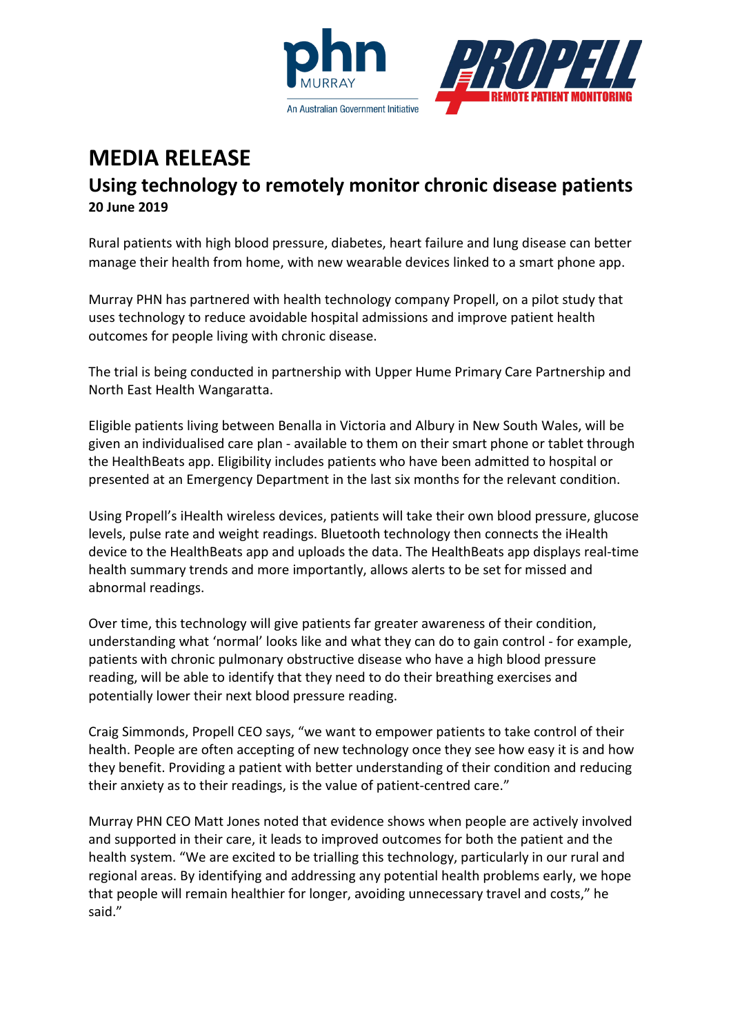



## **MEDIA RELEASE Using technology to remotely monitor chronic disease patients 20 June 2019**

Rural patients with high blood pressure, diabetes, heart failure and lung disease can better manage their health from home, with new wearable devices linked to a smart phone app.

Murray PHN has partnered with health technology company Propell, on a pilot study that uses technology to reduce avoidable hospital admissions and improve patient health outcomes for people living with chronic disease.

The trial is being conducted in partnership with Upper Hume Primary Care Partnership and North East Health Wangaratta.

Eligible patients living between Benalla in Victoria and Albury in New South Wales, will be given an individualised care plan - available to them on their smart phone or tablet through the HealthBeats app. Eligibility includes patients who have been admitted to hospital or presented at an Emergency Department in the last six months for the relevant condition.

Using Propell's iHealth wireless devices, patients will take their own blood pressure, glucose levels, pulse rate and weight readings. Bluetooth technology then connects the iHealth device to the HealthBeats app and uploads the data. The HealthBeats app displays real-time health summary trends and more importantly, allows alerts to be set for missed and abnormal readings.

Over time, this technology will give patients far greater awareness of their condition, understanding what 'normal' looks like and what they can do to gain control - for example, patients with chronic pulmonary obstructive disease who have a high blood pressure reading, will be able to identify that they need to do their breathing exercises and potentially lower their next blood pressure reading.

Craig Simmonds, Propell CEO says, "we want to empower patients to take control of their health. People are often accepting of new technology once they see how easy it is and how they benefit. Providing a patient with better understanding of their condition and reducing their anxiety as to their readings, is the value of patient-centred care."

Murray PHN CEO Matt Jones noted that evidence shows when people are actively involved and supported in their care, it leads to improved outcomes for both the patient and the health system. "We are excited to be trialling this technology, particularly in our rural and regional areas. By identifying and addressing any potential health problems early, we hope that people will remain healthier for longer, avoiding unnecessary travel and costs," he said."